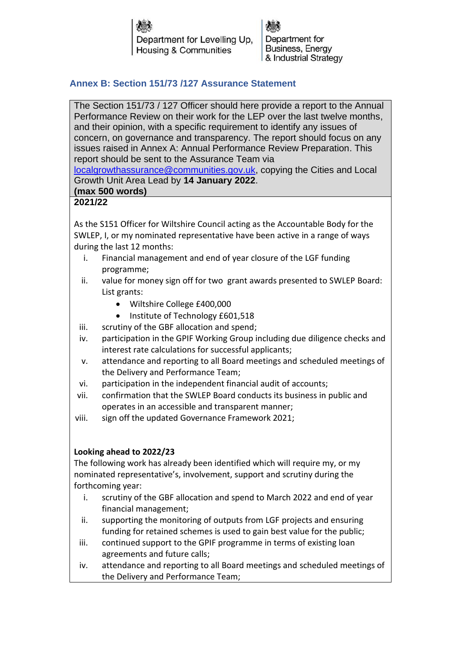Department for Levelling Up. **Housing & Communities** 

Department for **Business, Energy** & Industrial Strategy

# **Annex B: Section 151/73 /127 Assurance Statement**

The Section 151/73 / 127 Officer should here provide a report to the Annual Performance Review on their work for the LEP over the last twelve months, and their opinion, with a specific requirement to identify any issues of concern, on governance and transparency. The report should focus on any issues raised in Annex A: Annual Performance Review Preparation. This report should be sent to the Assurance Team via

[localgrowthassurance@communities.gov.uk,](mailto:localgrowthassurance@communities.gov.uk) copying the Cities and Local Growth Unit Area Lead by **14 January 2022**.

# **(max 500 words)**

# **2021/22**

As the S151 Officer for Wiltshire Council acting as the Accountable Body for the SWLEP, I, or my nominated representative have been active in a range of ways during the last 12 months:

- i. Financial management and end of year closure of the LGF funding programme;
- ii. value for money sign off for two grant awards presented to SWLEP Board: List grants:
	- Wiltshire College £400,000
	- Institute of Technology £601,518
- iii. scrutiny of the GBF allocation and spend;
- iv. participation in the GPIF Working Group including due diligence checks and interest rate calculations for successful applicants;
- v. attendance and reporting to all Board meetings and scheduled meetings of the Delivery and Performance Team;
- vi. participation in the independent financial audit of accounts;
- vii. confirmation that the SWLEP Board conducts its business in public and operates in an accessible and transparent manner;
- viii. sign off the updated Governance Framework 2021;

### **Looking ahead to 2022/23**

The following work has already been identified which will require my, or my nominated representative's, involvement, support and scrutiny during the forthcoming year:

- i. scrutiny of the GBF allocation and spend to March 2022 and end of year financial management;
- ii. supporting the monitoring of outputs from LGF projects and ensuring funding for retained schemes is used to gain best value for the public;
- iii. continued support to the GPIF programme in terms of existing loan agreements and future calls;
- iv. attendance and reporting to all Board meetings and scheduled meetings of the Delivery and Performance Team;